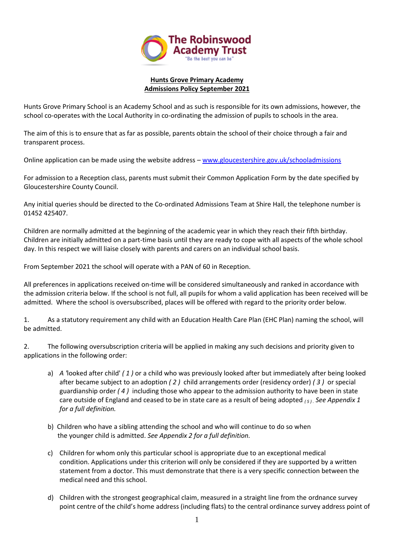

## **Hunts Grove Primary Academy Admissions Policy September 2021**

Hunts Grove Primary School is an Academy School and as such is responsible for its own admissions, however, the school co-operates with the Local Authority in co-ordinating the admission of pupils to schools in the area.

The aim of this is to ensure that as far as possible, parents obtain the school of their choice through a fair and transparent process.

Online application can be made using the website address – [www.gloucestershire.gov.uk/schooladmissions](http://www.gloucestershire.gov.uk/schooladmissions)

For admission to a Reception class, parents must submit their Common Application Form by the date specified by Gloucestershire County Council.

Any initial queries should be directed to the Co-ordinated Admissions Team at Shire Hall, the telephone number is 01452 425407.

Children are normally admitted at the beginning of the academic year in which they reach their fifth birthday. Children are initially admitted on a part-time basis until they are ready to cope with all aspects of the whole school day. In this respect we will liaise closely with parents and carers on an individual school basis.

From September 2021 the school will operate with a PAN of 60 in Reception.

All preferences in applications received on-time will be considered simultaneously and ranked in accordance with the admission criteria below. If the school is not full, all pupils for whom a valid application has been received will be admitted. Where the school is oversubscribed, places will be offered with regard to the priority order below.

1. As a statutory requirement any child with an Education Health Care Plan (EHC Plan) naming the school, will be admitted.

2. The following oversubscription criteria will be applied in making any such decisions and priority given to applications in the following order:

- a) *A '*looked after child' *( 1 )* or a child who was previously looked after but immediately after being looked after became subject to an adoption *( 2 )* child arrangements order (residency order) *( 3 )* or special guardianship order *( 4 )* including those who appear to the admission authority to have been in state care outside of England and ceased to be in state care as a result of being adopted *( 5 ) . See Appendix 1 for a full definition.*
- b) Children who have a sibling attending the school and who will continue to do so when the younger child is admitted. *See Appendix 2 for a full definition.*
- c) Children for whom only this particular school is appropriate due to an exceptional medical condition. Applications under this criterion will only be considered if they are supported by a written statement from a doctor. This must demonstrate that there is a very specific connection between the medical need and this school.
- d) Children with the strongest geographical claim, measured in a straight line from the ordnance survey point centre of the child's home address (including flats) to the central ordinance survey address point of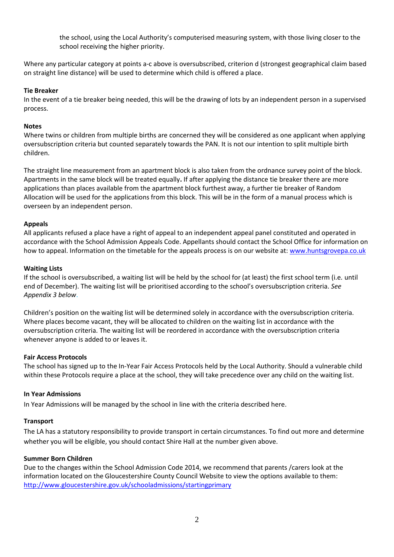the school, using the Local Authority's computerised measuring system, with those living closer to the school receiving the higher priority.

Where any particular category at points a-c above is oversubscribed, criterion d (strongest geographical claim based on straight line distance) will be used to determine which child is offered a place.

#### **Tie Breaker**

In the event of a tie breaker being needed, this will be the drawing of lots by an independent person in a supervised process.

### **Notes**

Where twins or children from multiple births are concerned they will be considered as one applicant when applying oversubscription criteria but counted separately towards the PAN. It is not our intention to split multiple birth children.

The straight line measurement from an apartment block is also taken from the ordnance survey point of the block. Apartments in the same block will be treated equally**.** If after applying the distance tie breaker there are more applications than places available from the apartment block furthest away, a further tie breaker of Random Allocation will be used for the applications from this block. This will be in the form of a manual process which is overseen by an independent person.

### **Appeals**

All applicants refused a place have a right of appeal to an independent appeal panel constituted and operated in accordance with the School Admission Appeals Code. Appellants should contact the School Office for information on how to appeal. Information on the timetable for the appeals process is on our website at: [www.huntsgrovepa.co.uk](http://www.huntsgrovepa.co.uk/)

### **Waiting Lists**

If the school is oversubscribed, a waiting list will be held by the school for (at least) the first school term (i.e. until end of December). The waiting list will be prioritised according to the school's oversubscription criteria. *See Appendix 3 below*.

Children's position on the waiting list will be determined solely in accordance with the oversubscription criteria. Where places become vacant, they will be allocated to children on the waiting list in accordance with the oversubscription criteria. The waiting list will be reordered in accordance with the oversubscription criteria whenever anyone is added to or leaves it.

#### **Fair Access Protocols**

The school has signed up to the In-Year Fair Access Protocols held by the Local Authority. Should a vulnerable child within these Protocols require a place at the school, they will take precedence over any child on the waiting list.

#### **In Year Admissions**

In Year Admissions will be managed by the school in line with the criteria described here.

#### **Transport**

The LA has a statutory responsibility to provide transport in certain circumstances. To find out more and determine whether you will be eligible, you should contact Shire Hall at the number given above.

#### **Summer Born Children**

Due to the changes within the School Admission Code 2014, we recommend that parents /carers look at the information located on the Gloucestershire County Council Website to view the options available to them: [http://www.gloucestershire.gov.uk/schooladmissions/startingprimary](http://www.gloucestershire.gov.uk/schooladmissions)